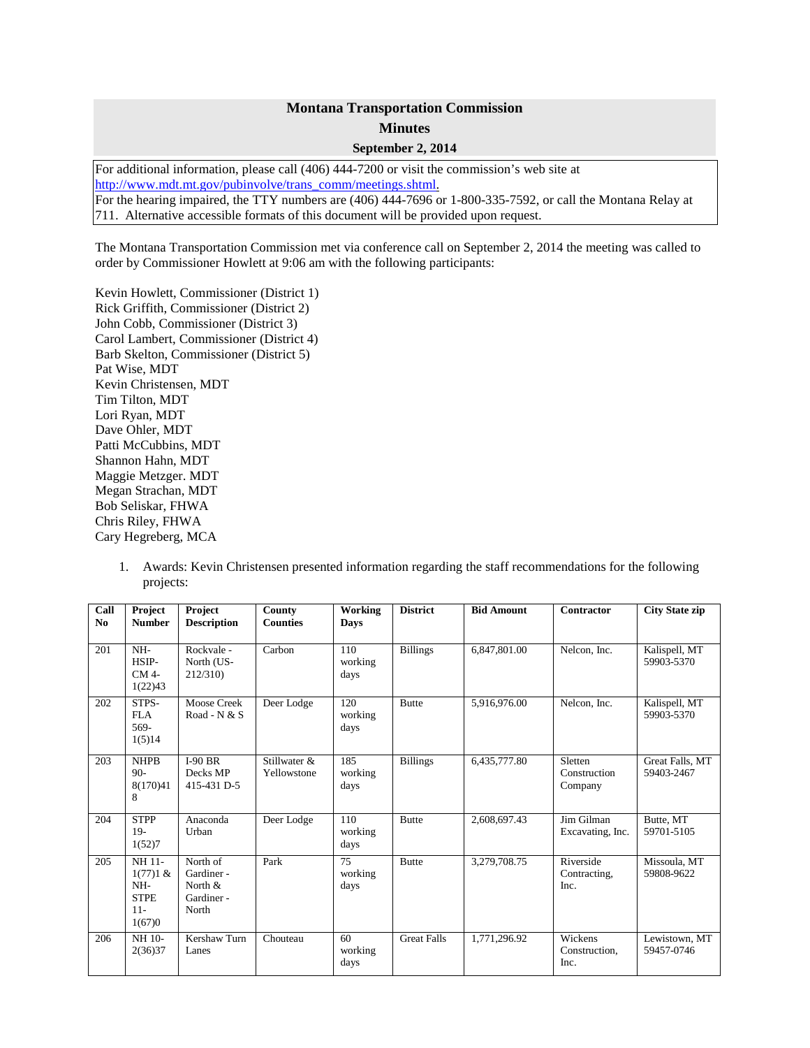## **Montana Transportation Commission Minutes**

**September 2, 2014**

For additional information, please call (406) 444-7200 or visit the commission's web site at [http://www.mdt.mt.gov/pubinvolve/trans\\_comm/meetings.shtml.](http://www.mdt.mt.gov/pubinvolve/trans_comm/meetings.shtml) For the hearing impaired, the TTY numbers are (406) 444-7696 or 1-800-335-7592, or call the Montana Relay at 711. Alternative accessible formats of this document will be provided upon request.

The Montana Transportation Commission met via conference call on September 2, 2014 the meeting was called to order by Commissioner Howlett at 9:06 am with the following participants:

Kevin Howlett, Commissioner (District 1) Rick Griffith, Commissioner (District 2) John Cobb, Commissioner (District 3) Carol Lambert, Commissioner (District 4) Barb Skelton, Commissioner (District 5) Pat Wise, MDT Kevin Christensen, MDT Tim Tilton, MDT Lori Ryan, MDT Dave Ohler, MDT Patti McCubbins, MDT Shannon Hahn, MDT Maggie Metzger. MDT Megan Strachan, MDT Bob Seliskar, FHWA Chris Riley, FHWA Cary Hegreberg, MCA

1. Awards: Kevin Christensen presented information regarding the staff recommendations for the following projects:

| Call<br>N <sub>0</sub> | Project<br><b>Number</b>                                           | Project<br><b>Description</b>                               | County<br><b>Counties</b>   | Working<br><b>Days</b>             | <b>District</b>    | <b>Bid Amount</b> | Contractor                         | <b>City State zip</b>         |
|------------------------|--------------------------------------------------------------------|-------------------------------------------------------------|-----------------------------|------------------------------------|--------------------|-------------------|------------------------------------|-------------------------------|
| 201                    | NH-<br>HSIP-<br>CM 4-<br>1(22)43                                   | Rockvale -<br>North (US-<br>212/310)                        | Carbon                      | 110<br>working<br>days             | <b>Billings</b>    | 6,847,801.00      | Nelcon. Inc.                       | Kalispell, MT<br>59903-5370   |
| 202                    | STPS-<br><b>FLA</b><br>569-<br>1(5)14                              | <b>Moose Creek</b><br>Road - N & S                          | Deer Lodge                  | 120<br>working<br>days             | <b>Butte</b>       | 5,916,976.00      | Nelcon. Inc.                       | Kalispell, MT<br>59903-5370   |
| 203                    | <b>NHPB</b><br>$90-$<br>8(170)41<br>8                              | $I-90$ BR<br>Decks MP<br>415-431 D-5                        | Stillwater &<br>Yellowstone | 185<br>working<br>days             | <b>Billings</b>    | 6,435,777.80      | Sletten<br>Construction<br>Company | Great Falls, MT<br>59403-2467 |
| 204                    | <b>STPP</b><br>$19-$<br>1(52)7                                     | Anaconda<br>Urban                                           | Deer Lodge                  | 110<br>working<br>days             | <b>Butte</b>       | 2,608,697.43      | Jim Gilman<br>Excavating, Inc.     | Butte, MT<br>59701-5105       |
| 205                    | <b>NH11-</b><br>1(77)1 &<br>NH-<br><b>STPE</b><br>$11 -$<br>1(67)0 | North of<br>Gardiner -<br>North $\&$<br>Gardiner -<br>North | Park                        | $\overline{75}$<br>working<br>days | <b>Butte</b>       | 3,279,708.75      | Riverside<br>Contracting,<br>Inc.  | Missoula, MT<br>59808-9622    |
| 206                    | NH 10-<br>2(36)37                                                  | Kershaw Turn<br>Lanes                                       | Chouteau                    | 60<br>working<br>days              | <b>Great Falls</b> | 1,771,296.92      | Wickens<br>Construction.<br>Inc.   | Lewistown, MT<br>59457-0746   |